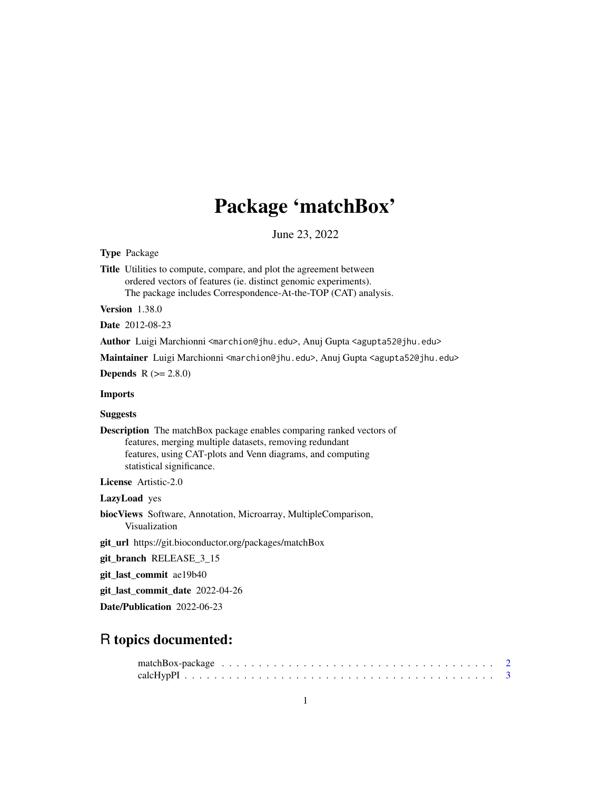# Package 'matchBox'

June 23, 2022

<span id="page-0-0"></span>Type Package

Title Utilities to compute, compare, and plot the agreement between ordered vectors of features (ie. distinct genomic experiments). The package includes Correspondence-At-the-TOP (CAT) analysis.

Version 1.38.0

Date 2012-08-23

Author Luigi Marchionni <marchion@jhu.edu>, Anuj Gupta <agupta52@jhu.edu>

Maintainer Luigi Marchionni <marchion@jhu.edu>, Anuj Gupta <agupta52@jhu.edu>

**Depends**  $R (= 2.8.0)$ 

Imports

**Suggests** 

Description The matchBox package enables comparing ranked vectors of features, merging multiple datasets, removing redundant features, using CAT-plots and Venn diagrams, and computing statistical significance.

License Artistic-2.0

LazyLoad yes

biocViews Software, Annotation, Microarray, MultipleComparison, Visualization

git\_url https://git.bioconductor.org/packages/matchBox

git\_branch RELEASE\_3\_15

git\_last\_commit ae19b40

git\_last\_commit\_date 2022-04-26

Date/Publication 2022-06-23

# R topics documented: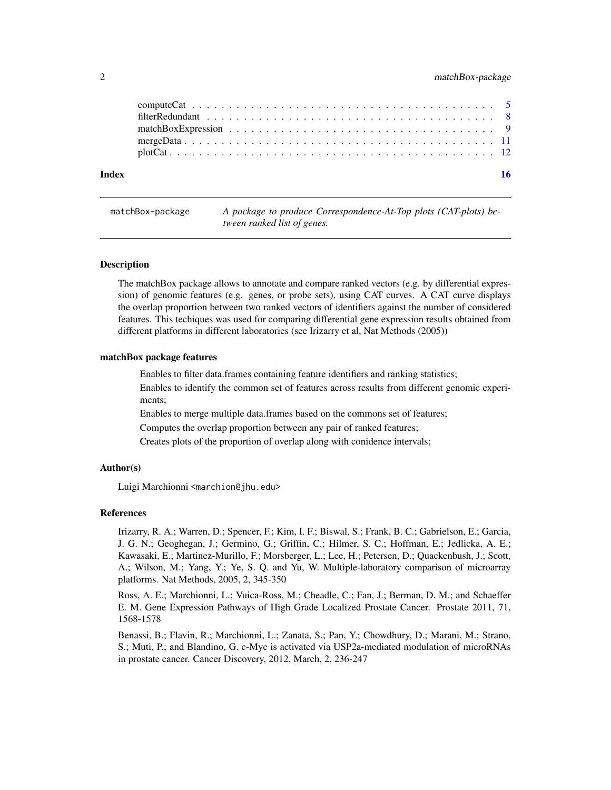<span id="page-1-0"></span>

| Index |  |
|-------|--|
|       |  |
|       |  |
|       |  |
|       |  |
|       |  |

matchBox-package *A package to produce Correspondence-At-Top plots (CAT-plots) between ranked list of genes.*

# **Description**

The matchBox package allows to annotate and compare ranked vectors (e.g. by differential expression) of genomic features (e.g. genes, or probe sets), using CAT curves. A CAT curve displays the overlap proportion between two ranked vectors of identifiers against the number of considered features. This techiques was used for comparing differential gene expression results obtained from different platforms in different laboratories (see Irizarry et al, Nat Methods (2005))

# matchBox package features

Enables to filter data.frames containing feature identifiers and ranking statistics;

Enables to identify the common set of features across results from different genomic experiments;

Enables to merge multiple data.frames based on the commons set of features;

Computes the overlap proportion between any pair of ranked features;

Creates plots of the proportion of overlap along with conidence intervals;

#### Author(s)

Luigi Marchionni <marchion@jhu.edu>

#### References

Irizarry, R. A.; Warren, D.; Spencer, F.; Kim, I. F.; Biswal, S.; Frank, B. C.; Gabrielson, E.; Garcia, J. G. N.; Geoghegan, J.; Germino, G.; Griffin, C.; Hilmer, S. C.; Hoffman, E.; Jedlicka, A. E.; Kawasaki, E.; Martinez-Murillo, F.; Morsberger, L.; Lee, H.; Petersen, D.; Quackenbush, J.; Scott, A.; Wilson, M.; Yang, Y.; Ye, S. Q. and Yu, W. Multiple-laboratory comparison of microarray platforms. Nat Methods, 2005, 2, 345-350

Ross, A. E.; Marchionni, L.; Vuica-Ross, M.; Cheadle, C.; Fan, J.; Berman, D. M.; and Schaeffer E. M. Gene Expression Pathways of High Grade Localized Prostate Cancer. Prostate 2011, 71, 1568-1578

Benassi, B.; Flavin, R.; Marchionni, L.; Zanata, S.; Pan, Y.; Chowdhury, D.; Marani, M.; Strano, S.; Muti, P.; and Blandino, G. c-Myc is activated via USP2a-mediated modulation of microRNAs in prostate cancer. Cancer Discovery, 2012, March, 2, 236-247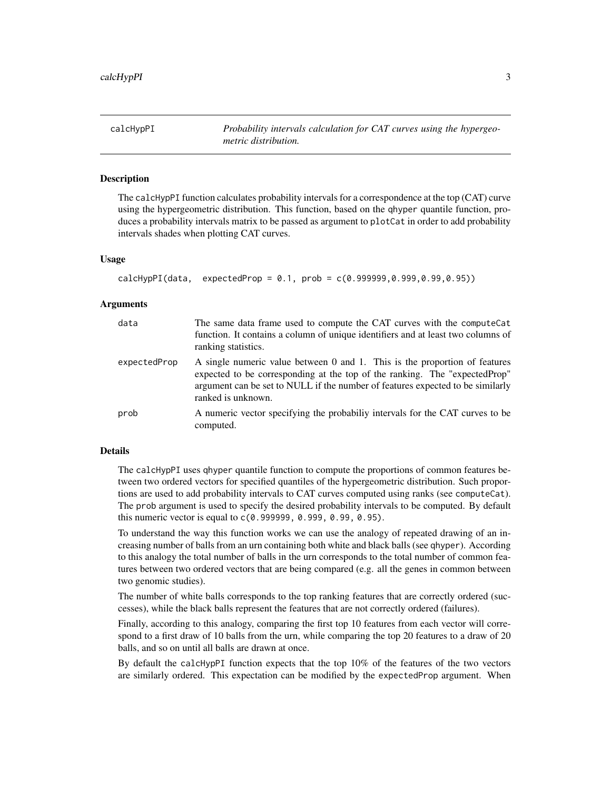<span id="page-2-1"></span><span id="page-2-0"></span>calcHypPI *Probability intervals calculation for CAT curves using the hypergeometric distribution.*

# **Description**

The calcHypPI function calculates probability intervals for a correspondence at the top (CAT) curve using the hypergeometric distribution. This function, based on the qhyper quantile function, produces a probability intervals matrix to be passed as argument to plotCat in order to add probability intervals shades when plotting CAT curves.

# Usage

```
calcHypPI(data, expectedProp = 0.1, prob = c(0.999999, 0.999, 0.999, 0.95))
```
# Arguments

| data         | The same data frame used to compute the CAT curves with the compute Cat<br>function. It contains a column of unique identifiers and at least two columns of<br>ranking statistics.                                                                                |
|--------------|-------------------------------------------------------------------------------------------------------------------------------------------------------------------------------------------------------------------------------------------------------------------|
| expectedProp | A single numeric value between 0 and 1. This is the proportion of features<br>expected to be corresponding at the top of the ranking. The "expected Prop"<br>argument can be set to NULL if the number of features expected to be similarly<br>ranked is unknown. |
| prob         | A numeric vector specifying the probabiliy intervals for the CAT curves to be<br>computed.                                                                                                                                                                        |

# Details

The calcHypPI uses qhyper quantile function to compute the proportions of common features between two ordered vectors for specified quantiles of the hypergeometric distribution. Such proportions are used to add probability intervals to CAT curves computed using ranks (see computeCat). The prob argument is used to specify the desired probability intervals to be computed. By default this numeric vector is equal to c(0.999999, 0.999, 0.99, 0.95).

To understand the way this function works we can use the analogy of repeated drawing of an increasing number of balls from an urn containing both white and black balls (see qhyper). According to this analogy the total number of balls in the urn corresponds to the total number of common features between two ordered vectors that are being compared (e.g. all the genes in common between two genomic studies).

The number of white balls corresponds to the top ranking features that are correctly ordered (successes), while the black balls represent the features that are not correctly ordered (failures).

Finally, according to this analogy, comparing the first top 10 features from each vector will correspond to a first draw of 10 balls from the urn, while comparing the top 20 features to a draw of 20 balls, and so on until all balls are drawn at once.

By default the calcHypPI function expects that the top 10% of the features of the two vectors are similarly ordered. This expectation can be modified by the expectedProp argument. When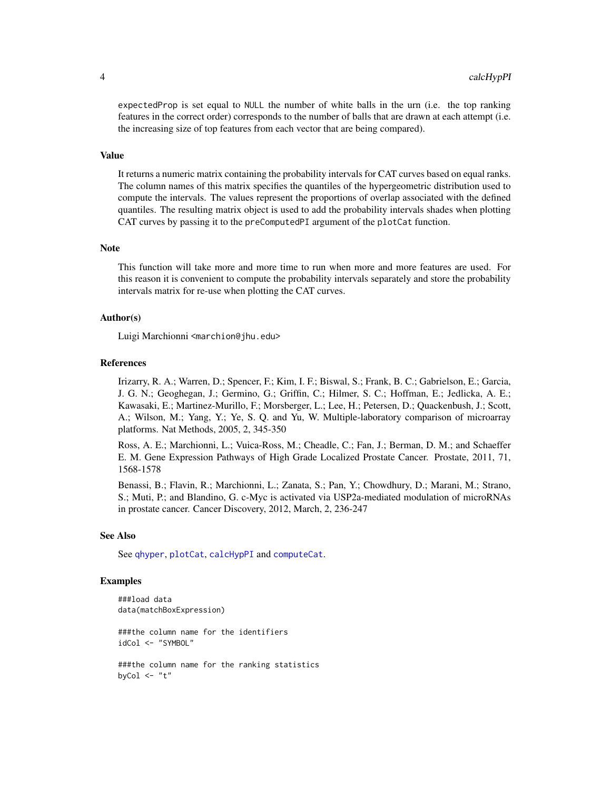<span id="page-3-0"></span>expectedProp is set equal to NULL the number of white balls in the urn (i.e. the top ranking features in the correct order) corresponds to the number of balls that are drawn at each attempt (i.e. the increasing size of top features from each vector that are being compared).

#### Value

It returns a numeric matrix containing the probability intervals for CAT curves based on equal ranks. The column names of this matrix specifies the quantiles of the hypergeometric distribution used to compute the intervals. The values represent the proportions of overlap associated with the defined quantiles. The resulting matrix object is used to add the probability intervals shades when plotting CAT curves by passing it to the preComputedPI argument of the plotCat function.

# Note

This function will take more and more time to run when more and more features are used. For this reason it is convenient to compute the probability intervals separately and store the probability intervals matrix for re-use when plotting the CAT curves.

# Author(s)

Luigi Marchionni <marchion@jhu.edu>

#### References

Irizarry, R. A.; Warren, D.; Spencer, F.; Kim, I. F.; Biswal, S.; Frank, B. C.; Gabrielson, E.; Garcia, J. G. N.; Geoghegan, J.; Germino, G.; Griffin, C.; Hilmer, S. C.; Hoffman, E.; Jedlicka, A. E.; Kawasaki, E.; Martinez-Murillo, F.; Morsberger, L.; Lee, H.; Petersen, D.; Quackenbush, J.; Scott, A.; Wilson, M.; Yang, Y.; Ye, S. Q. and Yu, W. Multiple-laboratory comparison of microarray platforms. Nat Methods, 2005, 2, 345-350

Ross, A. E.; Marchionni, L.; Vuica-Ross, M.; Cheadle, C.; Fan, J.; Berman, D. M.; and Schaeffer E. M. Gene Expression Pathways of High Grade Localized Prostate Cancer. Prostate, 2011, 71, 1568-1578

Benassi, B.; Flavin, R.; Marchionni, L.; Zanata, S.; Pan, Y.; Chowdhury, D.; Marani, M.; Strano, S.; Muti, P.; and Blandino, G. c-Myc is activated via USP2a-mediated modulation of microRNAs in prostate cancer. Cancer Discovery, 2012, March, 2, 236-247

# See Also

See [qhyper](#page-0-0), [plotCat](#page-11-1), [calcHypPI](#page-2-1) and [computeCat](#page-4-1).

# Examples

```
###load data
data(matchBoxExpression)
###the column name for the identifiers
idCol <- "SYMBOL"
###the column name for the ranking statistics
byCol \leq "t"
```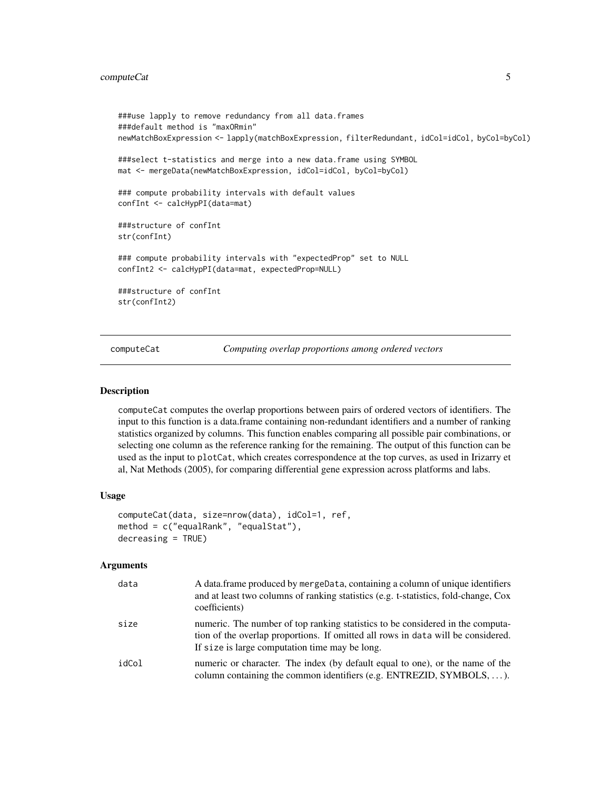```
###use lapply to remove redundancy from all data.frames
###default method is "maxORmin"
newMatchBoxExpression <- lapply(matchBoxExpression, filterRedundant, idCol=idCol, byCol=byCol)
###select t-statistics and merge into a new data.frame using SYMBOL
mat <- mergeData(newMatchBoxExpression, idCol=idCol, byCol=byCol)
### compute probability intervals with default values
confInt <- calcHypPI(data=mat)
###structure of confInt
str(confInt)
### compute probability intervals with "expectedProp" set to NULL
confInt2 <- calcHypPI(data=mat, expectedProp=NULL)
###structure of confInt
str(confInt2)
```
<span id="page-4-1"></span>computeCat *Computing overlap proportions among ordered vectors*

#### Description

computeCat computes the overlap proportions between pairs of ordered vectors of identifiers. The input to this function is a data.frame containing non-redundant identifiers and a number of ranking statistics organized by columns. This function enables comparing all possible pair combinations, or selecting one column as the reference ranking for the remaining. The output of this function can be used as the input to plotCat, which creates correspondence at the top curves, as used in Irizarry et al, Nat Methods (2005), for comparing differential gene expression across platforms and labs.

#### Usage

```
computeCat(data, size=nrow(data), idCol=1, ref,
method = c("equalRank", "equalStat"),
decreasing = TRUE)
```
#### Arguments

| data  | A data frame produced by mergeData, containing a column of unique identifiers<br>and at least two columns of ranking statistics (e.g. t-statistics, fold-change, Cox<br>coefficients)                                |
|-------|----------------------------------------------------------------------------------------------------------------------------------------------------------------------------------------------------------------------|
| size  | numeric. The number of top ranking statistics to be considered in the computa-<br>tion of the overlap proportions. If omitted all rows in data will be considered.<br>If size is large computation time may be long. |
| idCol | numeric or character. The index (by default equal to one), or the name of the<br>column containing the common identifiers (e.g. ENTREZID, SYMBOLS, ).                                                                |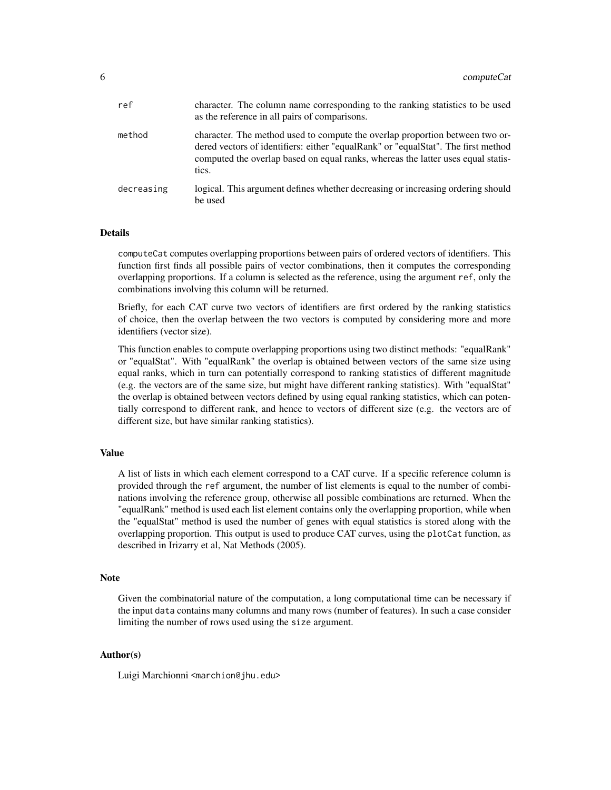| ref        | character. The column name corresponding to the ranking statistics to be used<br>as the reference in all pairs of comparisons.                                                                                                                                 |
|------------|----------------------------------------------------------------------------------------------------------------------------------------------------------------------------------------------------------------------------------------------------------------|
| method     | character. The method used to compute the overlap proportion between two or-<br>dered vectors of identifiers: either "equalRank" or "equalStat". The first method<br>computed the overlap based on equal ranks, whereas the latter uses equal statis-<br>tics. |
| decreasing | logical. This argument defines whether decreasing or increasing ordering should<br>be used                                                                                                                                                                     |

# Details

computeCat computes overlapping proportions between pairs of ordered vectors of identifiers. This function first finds all possible pairs of vector combinations, then it computes the corresponding overlapping proportions. If a column is selected as the reference, using the argument ref, only the combinations involving this column will be returned.

Briefly, for each CAT curve two vectors of identifiers are first ordered by the ranking statistics of choice, then the overlap between the two vectors is computed by considering more and more identifiers (vector size).

This function enables to compute overlapping proportions using two distinct methods: "equalRank" or "equalStat". With "equalRank" the overlap is obtained between vectors of the same size using equal ranks, which in turn can potentially correspond to ranking statistics of different magnitude (e.g. the vectors are of the same size, but might have different ranking statistics). With "equalStat" the overlap is obtained between vectors defined by using equal ranking statistics, which can potentially correspond to different rank, and hence to vectors of different size (e.g. the vectors are of different size, but have similar ranking statistics).

# Value

A list of lists in which each element correspond to a CAT curve. If a specific reference column is provided through the ref argument, the number of list elements is equal to the number of combinations involving the reference group, otherwise all possible combinations are returned. When the "equalRank" method is used each list element contains only the overlapping proportion, while when the "equalStat" method is used the number of genes with equal statistics is stored along with the overlapping proportion. This output is used to produce CAT curves, using the plotCat function, as described in Irizarry et al, Nat Methods (2005).

# **Note**

Given the combinatorial nature of the computation, a long computational time can be necessary if the input data contains many columns and many rows (number of features). In such a case consider limiting the number of rows used using the size argument.

# Author(s)

Luigi Marchionni <marchion@jhu.edu>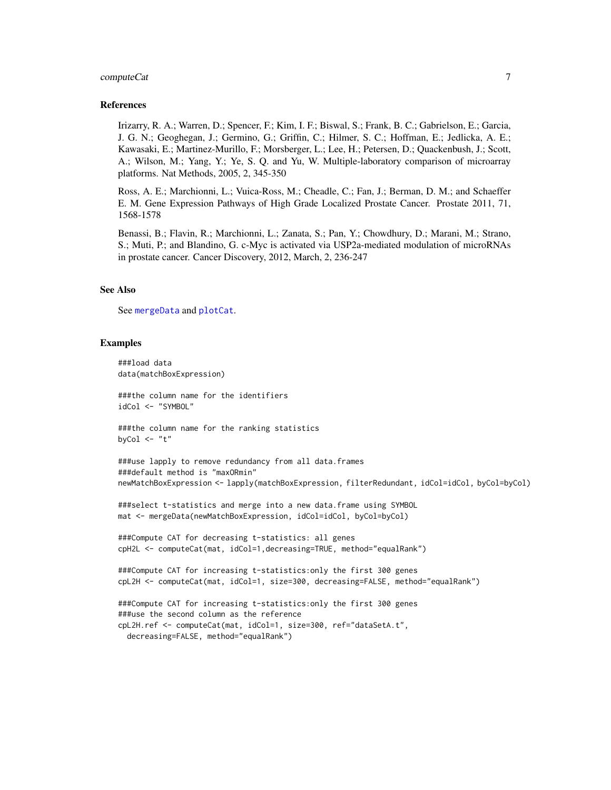# <span id="page-6-0"></span>computeCat 7

# References

Irizarry, R. A.; Warren, D.; Spencer, F.; Kim, I. F.; Biswal, S.; Frank, B. C.; Gabrielson, E.; Garcia, J. G. N.; Geoghegan, J.; Germino, G.; Griffin, C.; Hilmer, S. C.; Hoffman, E.; Jedlicka, A. E.; Kawasaki, E.; Martinez-Murillo, F.; Morsberger, L.; Lee, H.; Petersen, D.; Quackenbush, J.; Scott, A.; Wilson, M.; Yang, Y.; Ye, S. Q. and Yu, W. Multiple-laboratory comparison of microarray platforms. Nat Methods, 2005, 2, 345-350

Ross, A. E.; Marchionni, L.; Vuica-Ross, M.; Cheadle, C.; Fan, J.; Berman, D. M.; and Schaeffer E. M. Gene Expression Pathways of High Grade Localized Prostate Cancer. Prostate 2011, 71, 1568-1578

Benassi, B.; Flavin, R.; Marchionni, L.; Zanata, S.; Pan, Y.; Chowdhury, D.; Marani, M.; Strano, S.; Muti, P.; and Blandino, G. c-Myc is activated via USP2a-mediated modulation of microRNAs in prostate cancer. Cancer Discovery, 2012, March, 2, 236-247

# See Also

See [mergeData](#page-10-1) and [plotCat](#page-11-1).

## Examples

```
###load data
data(matchBoxExpression)
###the column name for the identifiers
idCol <- "SYMBOL"
###the column name for the ranking statistics
byCol \leq "t"
###use lapply to remove redundancy from all data.frames
###default method is "maxORmin"
newMatchBoxExpression <- lapply(matchBoxExpression, filterRedundant, idCol=idCol, byCol=byCol)
###select t-statistics and merge into a new data.frame using SYMBOL
mat <- mergeData(newMatchBoxExpression, idCol=idCol, byCol=byCol)
###Compute CAT for decreasing t-statistics: all genes
cpH2L <- computeCat(mat, idCol=1,decreasing=TRUE, method="equalRank")
###Compute CAT for increasing t-statistics:only the first 300 genes
cpL2H <- computeCat(mat, idCol=1, size=300, decreasing=FALSE, method="equalRank")
###Compute CAT for increasing t-statistics:only the first 300 genes
###use the second column as the reference
cpL2H.ref <- computeCat(mat, idCol=1, size=300, ref="dataSetA.t",
 decreasing=FALSE, method="equalRank")
```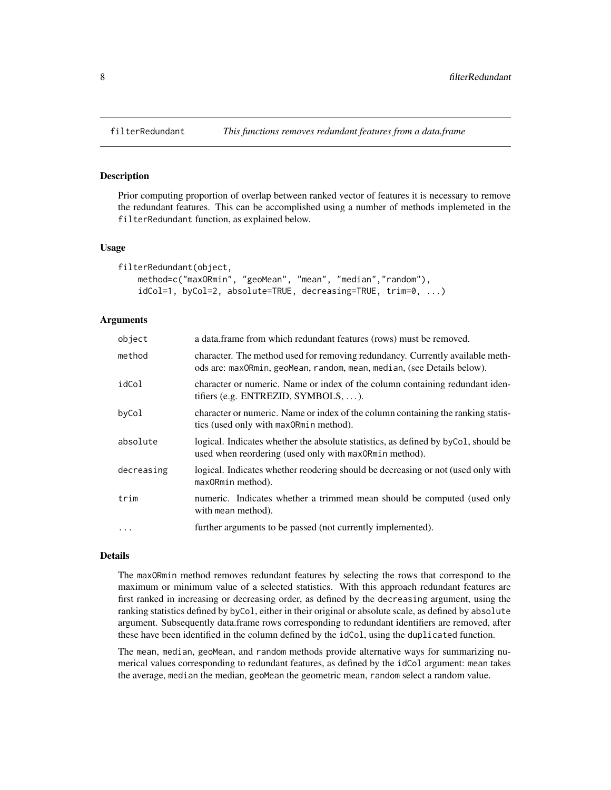# Description

Prior computing proportion of overlap between ranked vector of features it is necessary to remove the redundant features. This can be accomplished using a number of methods implemeted in the filterRedundant function, as explained below.

# Usage

```
filterRedundant(object,
   method=c("maxORmin", "geoMean", "mean", "median","random"),
    idCol=1, byCol=2, absolute=TRUE, decreasing=TRUE, trim=0, ...)
```
# Arguments

| object     | a data.frame from which redundant features (rows) must be removed.                                                                                      |
|------------|---------------------------------------------------------------------------------------------------------------------------------------------------------|
| method     | character. The method used for removing redundancy. Currently available meth-<br>ods are: maxORmin, geoMean, random, mean, median, (see Details below). |
| idCol      | character or numeric. Name or index of the column containing redundant iden-<br>tifiers (e.g. ENTREZID, SYMBOLS, ).                                     |
| byCol      | character or numeric. Name or index of the column containing the ranking statis-<br>tics (used only with max0Rmin method).                              |
| absolute   | logical. Indicates whether the absolute statistics, as defined by byCo1, should be<br>used when reordering (used only with max0Rmin method).            |
| decreasing | logical. Indicates whether reodering should be decreasing or not (used only with<br>max0Rmin method).                                                   |
| trim       | numeric. Indicates whether a trimmed mean should be computed (used only<br>with mean method).                                                           |
| $\cdot$    | further arguments to be passed (not currently implemented).                                                                                             |

# Details

The maxORmin method removes redundant features by selecting the rows that correspond to the maximum or minimum value of a selected statistics. With this approach redundant features are first ranked in increasing or decreasing order, as defined by the decreasing argument, using the ranking statistics defined by byCol, either in their original or absolute scale, as defined by absolute argument. Subsequently data.frame rows corresponding to redundant identifiers are removed, after these have been identified in the column defined by the idCol, using the duplicated function.

The mean, median, geoMean, and random methods provide alternative ways for summarizing numerical values corresponding to redundant features, as defined by the idCol argument: mean takes the average, median the median, geoMean the geometric mean, random select a random value.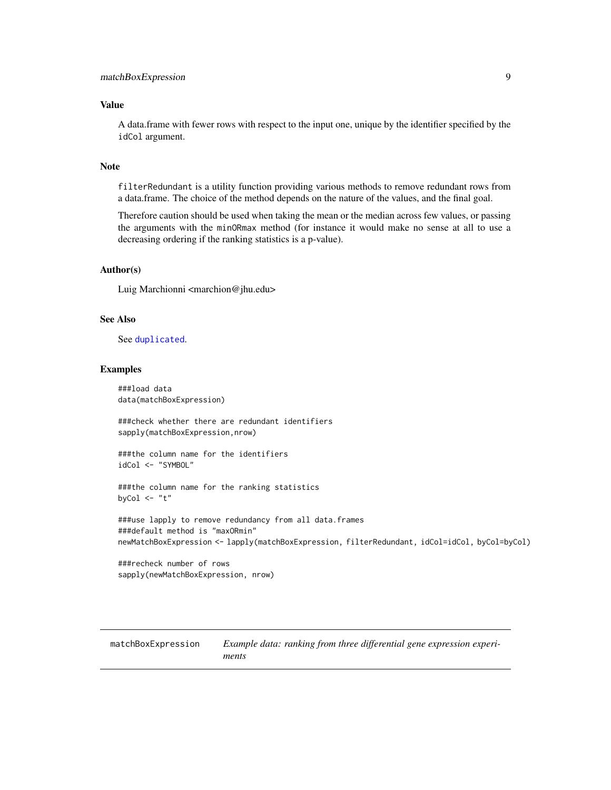# <span id="page-8-0"></span>Value

A data.frame with fewer rows with respect to the input one, unique by the identifier specified by the idCol argument.

# Note

filterRedundant is a utility function providing various methods to remove redundant rows from a data.frame. The choice of the method depends on the nature of the values, and the final goal.

Therefore caution should be used when taking the mean or the median across few values, or passing the arguments with the minORmax method (for instance it would make no sense at all to use a decreasing ordering if the ranking statistics is a p-value).

# Author(s)

Luig Marchionni <marchion@jhu.edu>

# See Also

See [duplicated](#page-0-0).

# Examples

###load data data(matchBoxExpression)

###check whether there are redundant identifiers sapply(matchBoxExpression,nrow)

###the column name for the identifiers idCol <- "SYMBOL"

```
###the column name for the ranking statistics
byCol \leq "t"
```

```
###use lapply to remove redundancy from all data.frames
###default method is "maxORmin"
newMatchBoxExpression <- lapply(matchBoxExpression, filterRedundant, idCol=idCol, byCol=byCol)
```
###recheck number of rows sapply(newMatchBoxExpression, nrow)

matchBoxExpression *Example data: ranking from three differential gene expression experiments*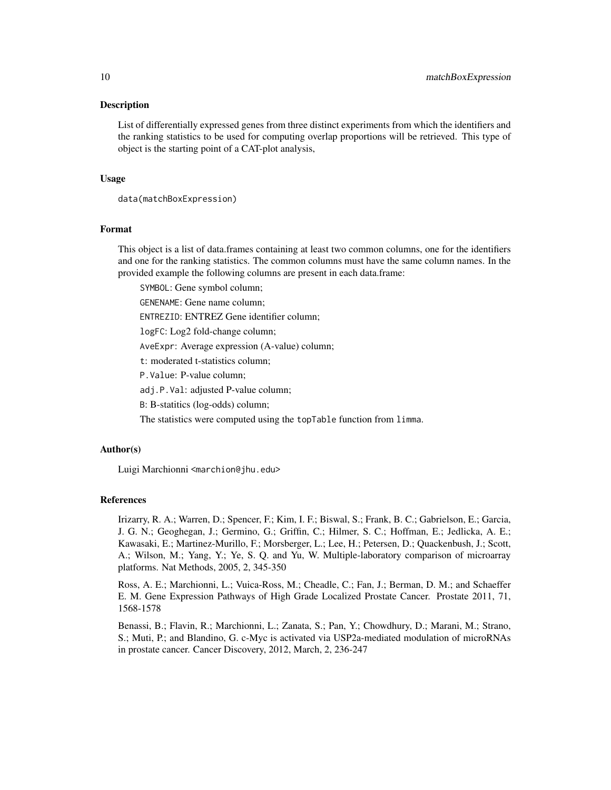#### Description

List of differentially expressed genes from three distinct experiments from which the identifiers and the ranking statistics to be used for computing overlap proportions will be retrieved. This type of object is the starting point of a CAT-plot analysis,

# Usage

```
data(matchBoxExpression)
```
# Format

This object is a list of data.frames containing at least two common columns, one for the identifiers and one for the ranking statistics. The common columns must have the same column names. In the provided example the following columns are present in each data.frame:

SYMBOL: Gene symbol column;

GENENAME: Gene name column;

ENTREZID: ENTREZ Gene identifier column;

logFC: Log2 fold-change column;

AveExpr: Average expression (A-value) column;

t: moderated t-statistics column;

P.Value: P-value column;

adj.P.Val: adjusted P-value column;

B: B-statitics (log-odds) column;

The statistics were computed using the topTable function from limma.

# Author(s)

Luigi Marchionni <marchion@jhu.edu>

# References

Irizarry, R. A.; Warren, D.; Spencer, F.; Kim, I. F.; Biswal, S.; Frank, B. C.; Gabrielson, E.; Garcia, J. G. N.; Geoghegan, J.; Germino, G.; Griffin, C.; Hilmer, S. C.; Hoffman, E.; Jedlicka, A. E.; Kawasaki, E.; Martinez-Murillo, F.; Morsberger, L.; Lee, H.; Petersen, D.; Quackenbush, J.; Scott, A.; Wilson, M.; Yang, Y.; Ye, S. Q. and Yu, W. Multiple-laboratory comparison of microarray platforms. Nat Methods, 2005, 2, 345-350

Ross, A. E.; Marchionni, L.; Vuica-Ross, M.; Cheadle, C.; Fan, J.; Berman, D. M.; and Schaeffer E. M. Gene Expression Pathways of High Grade Localized Prostate Cancer. Prostate 2011, 71, 1568-1578

Benassi, B.; Flavin, R.; Marchionni, L.; Zanata, S.; Pan, Y.; Chowdhury, D.; Marani, M.; Strano, S.; Muti, P.; and Blandino, G. c-Myc is activated via USP2a-mediated modulation of microRNAs in prostate cancer. Cancer Discovery, 2012, March, 2, 236-247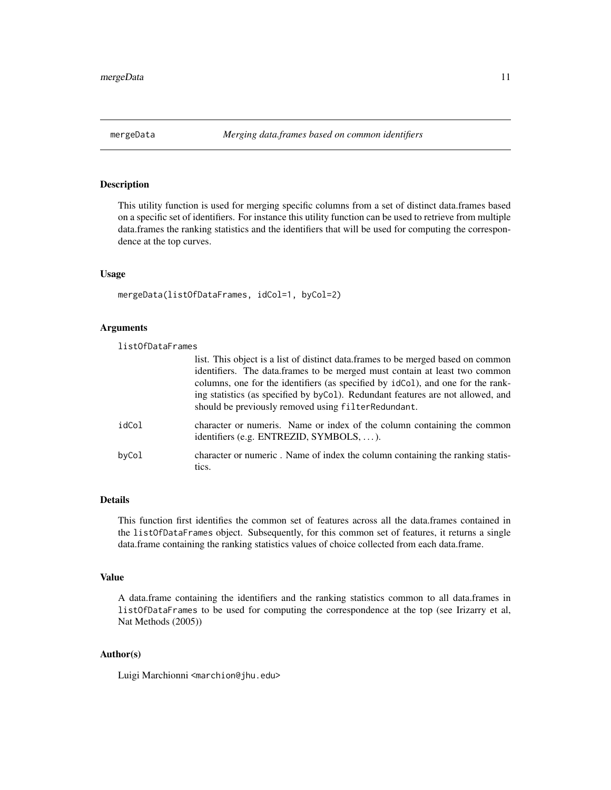# <span id="page-10-1"></span><span id="page-10-0"></span>Description

This utility function is used for merging specific columns from a set of distinct data.frames based on a specific set of identifiers. For instance this utility function can be used to retrieve from multiple data.frames the ranking statistics and the identifiers that will be used for computing the correspondence at the top curves.

# Usage

```
mergeData(listOfDataFrames, idCol=1, byCol=2)
```
# Arguments

| listOfDataFrames |                                                                                                                                                                                                                                                                                                                                                                                             |
|------------------|---------------------------------------------------------------------------------------------------------------------------------------------------------------------------------------------------------------------------------------------------------------------------------------------------------------------------------------------------------------------------------------------|
|                  | list. This object is a list of distinct data.frames to be merged based on common<br>identifiers. The data.frames to be merged must contain at least two common<br>columns, one for the identifiers (as specified by idCo1), and one for the rank-<br>ing statistics (as specified by byCo1). Redundant features are not allowed, and<br>should be previously removed using filterRedundant. |
| idCol            | character or numeris. Name or index of the column containing the common<br>identifiers (e.g. ENTREZID, SYMBOLS, ).                                                                                                                                                                                                                                                                          |
| byCol            | character or numeric. Name of index the column containing the ranking statis-<br>tics.                                                                                                                                                                                                                                                                                                      |

# Details

This function first identifies the common set of features across all the data.frames contained in the listOfDataFrames object. Subsequently, for this common set of features, it returns a single data.frame containing the ranking statistics values of choice collected from each data.frame.

# Value

A data.frame containing the identifiers and the ranking statistics common to all data.frames in listOfDataFrames to be used for computing the correspondence at the top (see Irizarry et al, Nat Methods (2005))

# Author(s)

Luigi Marchionni <marchion@jhu.edu>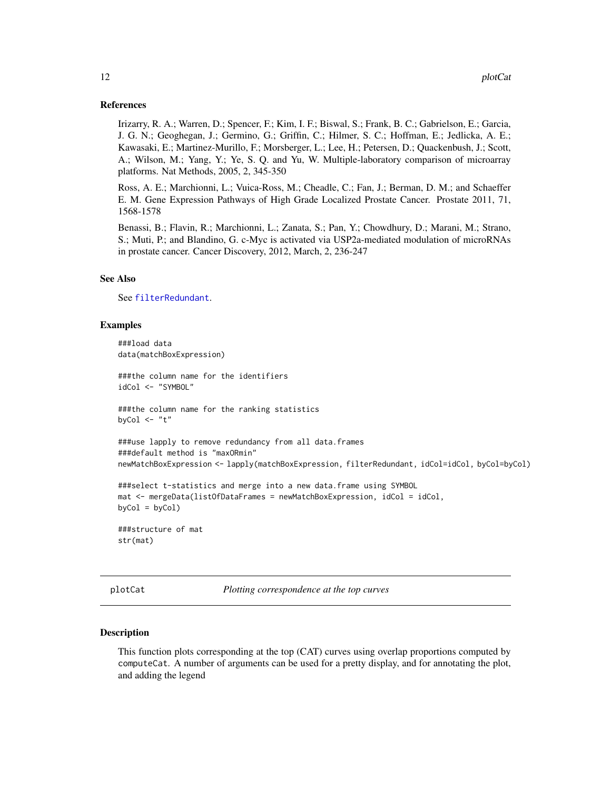# <span id="page-11-0"></span>References

Irizarry, R. A.; Warren, D.; Spencer, F.; Kim, I. F.; Biswal, S.; Frank, B. C.; Gabrielson, E.; Garcia, J. G. N.; Geoghegan, J.; Germino, G.; Griffin, C.; Hilmer, S. C.; Hoffman, E.; Jedlicka, A. E.; Kawasaki, E.; Martinez-Murillo, F.; Morsberger, L.; Lee, H.; Petersen, D.; Quackenbush, J.; Scott, A.; Wilson, M.; Yang, Y.; Ye, S. Q. and Yu, W. Multiple-laboratory comparison of microarray platforms. Nat Methods, 2005, 2, 345-350

Ross, A. E.; Marchionni, L.; Vuica-Ross, M.; Cheadle, C.; Fan, J.; Berman, D. M.; and Schaeffer E. M. Gene Expression Pathways of High Grade Localized Prostate Cancer. Prostate 2011, 71, 1568-1578

Benassi, B.; Flavin, R.; Marchionni, L.; Zanata, S.; Pan, Y.; Chowdhury, D.; Marani, M.; Strano, S.; Muti, P.; and Blandino, G. c-Myc is activated via USP2a-mediated modulation of microRNAs in prostate cancer. Cancer Discovery, 2012, March, 2, 236-247

# See Also

See [filterRedundant](#page-7-1).

# Examples

```
###load data
data(matchBoxExpression)
###the column name for the identifiers
idCol <- "SYMBOL"
###the column name for the ranking statistics
byCol \leq "t"
###use lapply to remove redundancy from all data.frames
###default method is "maxORmin"
newMatchBoxExpression <- lapply(matchBoxExpression, filterRedundant, idCol=idCol, byCol=byCol)
###select t-statistics and merge into a new data.frame using SYMBOL
mat \le - mergeData(listOfDataFrames = newMatchBoxExpression, idCol = idCol,
byCol = byCol###structure of mat
str(mat)
```
<span id="page-11-1"></span>plotCat *Plotting correspondence at the top curves*

#### Description

This function plots corresponding at the top (CAT) curves using overlap proportions computed by computeCat. A number of arguments can be used for a pretty display, and for annotating the plot, and adding the legend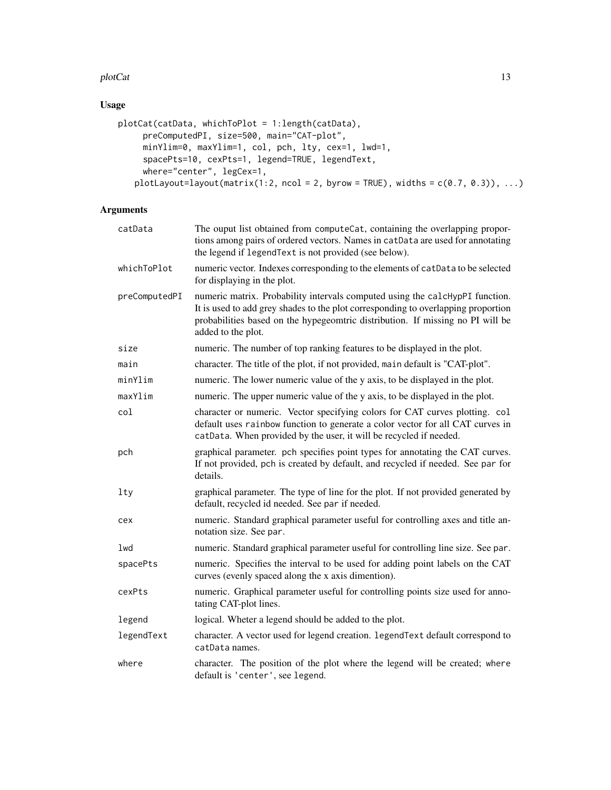# plotCat and the state of the state of the state of the state of the state of the state of the state of the state of the state of the state of the state of the state of the state of the state of the state of the state of th

# Usage

```
plotCat(catData, whichToPlot = 1:length(catData),
     preComputedPI, size=500, main="CAT-plot",
     minYlim=0, maxYlim=1, col, pch, lty, cex=1, lwd=1,
     spacePts=10, cexPts=1, legend=TRUE, legendText,
     where="center", legCex=1,
   plotLayout=layout(matrix(1:2, ncol = 2, byrow = TRUE), widths = c(0.7, 0.3)), ...)
```
# Arguments

| catData       | The ouput list obtained from computeCat, containing the overlapping propor-<br>tions among pairs of ordered vectors. Names in catData are used for annotating<br>the legend if legend Text is not provided (see below).                                                   |
|---------------|---------------------------------------------------------------------------------------------------------------------------------------------------------------------------------------------------------------------------------------------------------------------------|
| whichToPlot   | numeric vector. Indexes corresponding to the elements of catData to be selected<br>for displaying in the plot.                                                                                                                                                            |
| preComputedPI | numeric matrix. Probability intervals computed using the calcHypPI function.<br>It is used to add grey shades to the plot corresponding to overlapping proportion<br>probabilities based on the hypegeomtric distribution. If missing no PI will be<br>added to the plot. |
| size          | numeric. The number of top ranking features to be displayed in the plot.                                                                                                                                                                                                  |
| main          | character. The title of the plot, if not provided, main default is "CAT-plot".                                                                                                                                                                                            |
| minYlim       | numeric. The lower numeric value of the y axis, to be displayed in the plot.                                                                                                                                                                                              |
| maxYlim       | numeric. The upper numeric value of the y axis, to be displayed in the plot.                                                                                                                                                                                              |
| col           | character or numeric. Vector specifying colors for CAT curves plotting. col<br>default uses rainbow function to generate a color vector for all CAT curves in<br>catData. When provided by the user, it will be recycled if needed.                                       |
| pch           | graphical parameter. pch specifies point types for annotating the CAT curves.<br>If not provided, pch is created by default, and recycled if needed. See par for<br>details.                                                                                              |
| $1$ ty        | graphical parameter. The type of line for the plot. If not provided generated by<br>default, recycled id needed. See par if needed.                                                                                                                                       |
| cex           | numeric. Standard graphical parameter useful for controlling axes and title an-<br>notation size. See par.                                                                                                                                                                |
| lwd           | numeric. Standard graphical parameter useful for controlling line size. See par.                                                                                                                                                                                          |
| spacePts      | numeric. Specifies the interval to be used for adding point labels on the CAT<br>curves (evenly spaced along the x axis dimention).                                                                                                                                       |
| cexPts        | numeric. Graphical parameter useful for controlling points size used for anno-<br>tating CAT-plot lines.                                                                                                                                                                  |
| legend        | logical. Wheter a legend should be added to the plot.                                                                                                                                                                                                                     |
| legendText    | character. A vector used for legend creation. legendText default correspond to<br>catData names.                                                                                                                                                                          |
| where         | character. The position of the plot where the legend will be created; where<br>default is 'center', see legend.                                                                                                                                                           |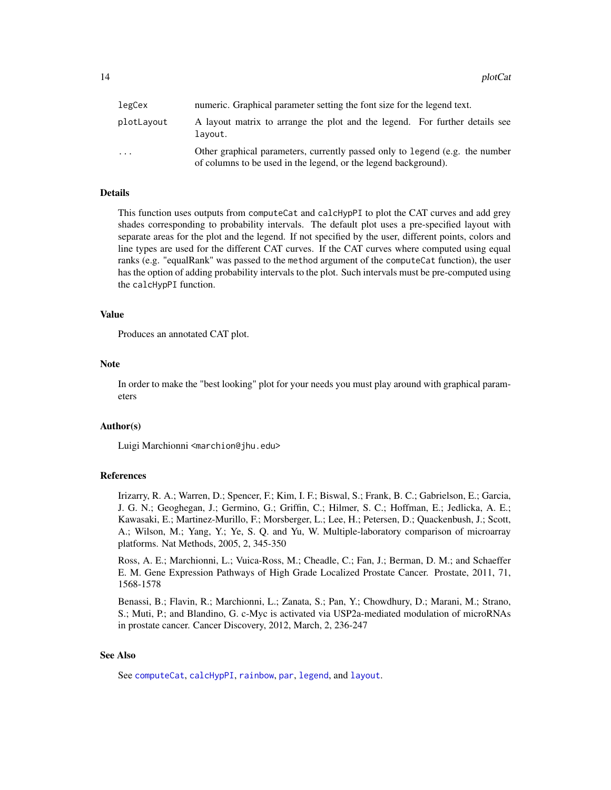<span id="page-13-0"></span>

| legCex     | numeric. Graphical parameter setting the font size for the legend text.                                                                         |
|------------|-------------------------------------------------------------------------------------------------------------------------------------------------|
| plotLayout | A layout matrix to arrange the plot and the legend. For further details see<br>lavout.                                                          |
| .          | Other graphical parameters, currently passed only to legend (e.g. the number<br>of columns to be used in the legend, or the legend background). |

# Details

This function uses outputs from computeCat and calcHypPI to plot the CAT curves and add grey shades corresponding to probability intervals. The default plot uses a pre-specified layout with separate areas for the plot and the legend. If not specified by the user, different points, colors and line types are used for the different CAT curves. If the CAT curves where computed using equal ranks (e.g. "equalRank" was passed to the method argument of the computeCat function), the user has the option of adding probability intervals to the plot. Such intervals must be pre-computed using the calcHypPI function.

# Value

Produces an annotated CAT plot.

# **Note**

In order to make the "best looking" plot for your needs you must play around with graphical parameters

# Author(s)

Luigi Marchionni <marchion@jhu.edu>

# References

Irizarry, R. A.; Warren, D.; Spencer, F.; Kim, I. F.; Biswal, S.; Frank, B. C.; Gabrielson, E.; Garcia, J. G. N.; Geoghegan, J.; Germino, G.; Griffin, C.; Hilmer, S. C.; Hoffman, E.; Jedlicka, A. E.; Kawasaki, E.; Martinez-Murillo, F.; Morsberger, L.; Lee, H.; Petersen, D.; Quackenbush, J.; Scott, A.; Wilson, M.; Yang, Y.; Ye, S. Q. and Yu, W. Multiple-laboratory comparison of microarray platforms. Nat Methods, 2005, 2, 345-350

Ross, A. E.; Marchionni, L.; Vuica-Ross, M.; Cheadle, C.; Fan, J.; Berman, D. M.; and Schaeffer E. M. Gene Expression Pathways of High Grade Localized Prostate Cancer. Prostate, 2011, 71, 1568-1578

Benassi, B.; Flavin, R.; Marchionni, L.; Zanata, S.; Pan, Y.; Chowdhury, D.; Marani, M.; Strano, S.; Muti, P.; and Blandino, G. c-Myc is activated via USP2a-mediated modulation of microRNAs in prostate cancer. Cancer Discovery, 2012, March, 2, 236-247

# See Also

See [computeCat](#page-4-1), [calcHypPI](#page-2-1), [rainbow](#page-0-0), [par](#page-0-0), [legend](#page-0-0), and [layout](#page-0-0).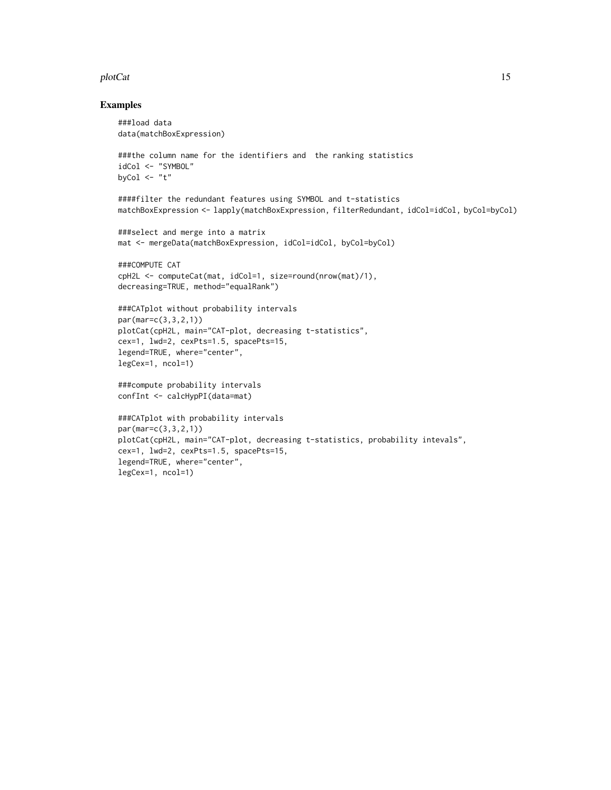### plotCat 15

# Examples

```
###load data
data(matchBoxExpression)
###the column name for the identifiers and the ranking statistics
idCol <- "SYMBOL"
byCol \leq "t"
####filter the redundant features using SYMBOL and t-statistics
matchBoxExpression <- lapply(matchBoxExpression, filterRedundant, idCol=idCol, byCol=byCol)
###select and merge into a matrix
mat <- mergeData(matchBoxExpression, idCol=idCol, byCol=byCol)
###COMPUTE CAT
cpH2L <- computeCat(mat, idCol=1, size=round(nrow(mat)/1),
decreasing=TRUE, method="equalRank")
###CATplot without probability intervals
par(mar=c(3,3,2,1))
plotCat(cpH2L, main="CAT-plot, decreasing t-statistics",
cex=1, lwd=2, cexPts=1.5, spacePts=15,
legend=TRUE, where="center",
legCex=1, ncol=1)
###compute probability intervals
confInt <- calcHypPI(data=mat)
###CATplot with probability intervals
par(mar=c(3,3,2,1))
plotCat(cpH2L, main="CAT-plot, decreasing t-statistics, probability intevals",
cex=1, lwd=2, cexPts=1.5, spacePts=15,
legend=TRUE, where="center",
legCex=1, ncol=1)
```